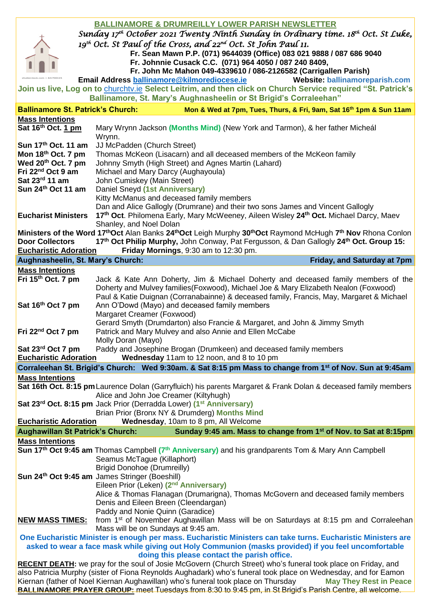| <b>BALLINAMORE &amp; DRUMREILLY LOWER PARISH NEWSLETTER</b>                                                                              |                                                                                                                                                              |
|------------------------------------------------------------------------------------------------------------------------------------------|--------------------------------------------------------------------------------------------------------------------------------------------------------------|
| Sunday 17 <sup>th</sup> October 2021 Twenty Ninth Sunday in Ordinary time. 18 <sup>th</sup> Oct. St Luke,                                |                                                                                                                                                              |
| 19 <sup>th</sup> Oct. St Paul of the Cross, and 22 <sup>nd</sup> Oct. St John Paul 11.                                                   |                                                                                                                                                              |
|                                                                                                                                          | Fr. Sean Mawn P.P. (071) 9644039 (Office) 083 021 9888 / 087 686 9040<br>Fr. Johnnie Cusack C.C. (071) 964 4050 / 087 240 8409,                              |
|                                                                                                                                          | Fr. John Mc Mahon 049-4339610 / 086-2126582 (Carrigallen Parish)                                                                                             |
|                                                                                                                                          | Email Address ballinamore@kilmorediocese.ie<br><b>Website: ballinamoreparish.com</b>                                                                         |
|                                                                                                                                          | Join us live, Log on to churchtv.ie Select Leitrim, and then click on Church Service required "St. Patrick's                                                 |
| Ballinamore, St. Mary's Aughnasheelin or St Brigid's Corraleehan"                                                                        |                                                                                                                                                              |
| <b>Ballinamore St. Patrick's Church:</b><br>Mon & Wed at 7pm, Tues, Thurs, & Fri, 9am, Sat 16th 1pm & Sun 11am<br><b>Mass Intentions</b> |                                                                                                                                                              |
| Sat 16th Oct. 1 pm                                                                                                                       | Mary Wrynn Jackson (Months Mind) (New York and Tarmon), & her father Micheál                                                                                 |
|                                                                                                                                          | Wrynn.                                                                                                                                                       |
| Sun 17th Oct. 11 am                                                                                                                      | JJ McPadden (Church Street)                                                                                                                                  |
| Mon 18th Oct. 7 pm                                                                                                                       | Thomas McKeon (Lisacarn) and all deceased members of the McKeon family                                                                                       |
| Wed 20 <sup>th</sup> Oct. 7 pm                                                                                                           | Johnny Smyth (High Street) and Agnes Martin (Lahard)                                                                                                         |
| Fri 22 <sup>nd</sup> Oct 9 am                                                                                                            | Michael and Mary Darcy (Aughayoula)                                                                                                                          |
| Sat 23rd 11 am<br>Sun 24th Oct 11 am                                                                                                     | John Cumiskey (Main Street)<br>Daniel Sneyd (1st Anniversary)                                                                                                |
|                                                                                                                                          | Kitty McManus and deceased family members                                                                                                                    |
|                                                                                                                                          | Dan and Alice Gallogly (Drumrane) and their two sons James and Vincent Gallogly                                                                              |
| <b>Eucharist Ministers</b>                                                                                                               | 17th Oct. Philomena Early, Mary McWeeney, Aileen Wisley 24th Oct. Michael Darcy, Maev                                                                        |
|                                                                                                                                          | Shanley, and Noel Dolan                                                                                                                                      |
|                                                                                                                                          | Ministers of the Word 17 <sup>th</sup> Oct Alan Banks 24 <sup>th</sup> Oct Leigh Murphy 30 <sup>th</sup> Oct Raymond McHugh 7 <sup>th</sup> Nov Rhona Conlon |
| <b>Door Collectors</b>                                                                                                                   | 17th Oct Philip Murphy, John Conway, Pat Fergusson, & Dan Gallogly 24th Oct. Group 15:                                                                       |
| <b>Eucharistic Adoration</b><br>Friday Mornings, 9:30 am to 12:30 pm.                                                                    |                                                                                                                                                              |
| Aughnasheelin, St. Mary's Church:                                                                                                        | Friday, and Saturday at 7pm                                                                                                                                  |
| <b>Mass Intentions</b><br>Fri 15 <sup>th</sup> Oct. 7 pm                                                                                 | Jack & Kate Ann Doherty, Jim & Michael Doherty and deceased family members of the                                                                            |
|                                                                                                                                          | Doherty and Mulvey families (Foxwood), Michael Joe & Mary Elizabeth Nealon (Foxwood)                                                                         |
|                                                                                                                                          | Paul & Katie Duignan (Corranabainne) & deceased family, Francis, May, Margaret & Michael                                                                     |
| Sat 16th Oct 7 pm                                                                                                                        | Ann O'Dowd (Mayo) and deceased family members                                                                                                                |
|                                                                                                                                          | Margaret Creamer (Foxwood)                                                                                                                                   |
|                                                                                                                                          | Gerard Smyth (Drumdarton) also Francie & Margaret, and John & Jimmy Smyth                                                                                    |
| Fri 22 <sup>nd</sup> Oct 7 pm                                                                                                            | Patrick and Mary Mulvey and also Annie and Ellen McCabe                                                                                                      |
|                                                                                                                                          | Molly Doran (Mayo)                                                                                                                                           |
| Sat 23rd Oct 7 pm<br><b>Eucharistic Adoration</b>                                                                                        | Paddy and Josephine Brogan (Drumkeen) and deceased family members<br>Wednesday 11am to 12 noon, and 8 to 10 pm                                               |
|                                                                                                                                          | Corraleehan St. Brigid's Church: Wed 9:30am. & Sat 8:15 pm Mass to change from 1 <sup>st</sup> of Nov. Sun at 9:45am                                         |
| <b>Mass Intentions</b>                                                                                                                   |                                                                                                                                                              |
| Sat 16th Oct. 8:15 pm Laurence Dolan (Garryfluich) his parents Margaret & Frank Dolan & deceased family members                          |                                                                                                                                                              |
|                                                                                                                                          | Alice and John Joe Creamer (Kiltyhugh)                                                                                                                       |
|                                                                                                                                          | Sat 23 <sup>rd</sup> Oct. 8:15 pm Jack Prior (Derradda Lower) (1 <sup>st</sup> Anniversary)                                                                  |
|                                                                                                                                          | Brian Prior (Bronx NY & Drumderg) Months Mind                                                                                                                |
| <b>Eucharistic Adoration</b><br><b>Aughawillan St Patrick's Church:</b>                                                                  | Wednesday, 10am to 8 pm, All Welcome                                                                                                                         |
| <b>Mass Intentions</b>                                                                                                                   | Sunday 9:45 am. Mass to change from 1 <sup>st</sup> of Nov. to Sat at 8:15pm                                                                                 |
|                                                                                                                                          | Sun 17 <sup>th</sup> Oct 9:45 am Thomas Campbell (7 <sup>th</sup> Anniversary) and his grandparents Tom & Mary Ann Campbell                                  |
|                                                                                                                                          | Seamus McTague (Killaphort)                                                                                                                                  |
|                                                                                                                                          | <b>Brigid Donohoe (Drumreilly)</b>                                                                                                                           |
|                                                                                                                                          | Sun 24th Oct 9:45 am James Stringer (Boeshill)                                                                                                               |
|                                                                                                                                          | Eileen Prior (Leken) (2 <sup>nd</sup> Anniversary)                                                                                                           |
|                                                                                                                                          | Alice & Thomas Flanagan (Drumarigna), Thomas McGovern and deceased family members                                                                            |
|                                                                                                                                          | Denis and Eileen Breen (Cleendargan)                                                                                                                         |
| <b>NEW MASS TIMES:</b>                                                                                                                   | Paddy and Nonie Quinn (Garadice)<br>from 1 <sup>st</sup> of November Aughawillan Mass will be on Saturdays at 8:15 pm and Corraleehan                        |
|                                                                                                                                          | Mass will be on Sundays at 9:45 am.                                                                                                                          |
| One Eucharistic Minister is enough per mass. Eucharistic Ministers can take turns. Eucharistic Ministers are                             |                                                                                                                                                              |
| asked to wear a face mask while giving out Holy Communion (masks provided) if you feel uncomfortable                                     |                                                                                                                                                              |
| doing this please contact the parish office.                                                                                             |                                                                                                                                                              |
| <b>RECENT DEATH:</b> we pray for the soul of Josie McGovern (Church Street) who's funeral took place on Friday, and                      |                                                                                                                                                              |
| also Patricia Murphy (sister of Fiona Reynolds Aughadark) who's funeral took place on Wednesday, and for Eamon                           |                                                                                                                                                              |
| Kiernan (father of Noel Kiernan Aughawillan) who's funeral took place on Thursday<br><b>May They Rest in Peace</b>                       |                                                                                                                                                              |
| BALLINAMORE PRAYER GROUP: meet Tuesdays from 8:30 to 9:45 pm, in St Brigid's Parish Centre, all welcome.                                 |                                                                                                                                                              |